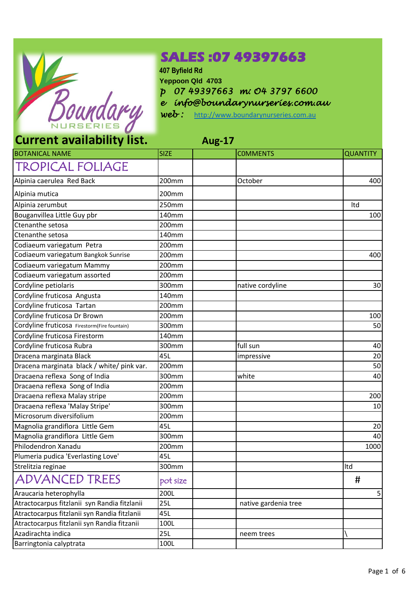

## **SALES :07 49397663**

**407 Byfield Rd Yeppoon Qld 4703** *p 07 49397663 m: O4 3797 6600 e info@boundarynurseries.com.au*

*web :* [http://www.boundarynurseries.com.au](http://www.boundarynurseries.com.au/)

## **Current availability list.**

| <b>Aug-17</b> |
|---------------|
|---------------|

| <b>BOTANICAL NAME</b>                        | <b>SIZE</b> | <b>COMMENTS</b>      | <b>QUANTITY</b> |
|----------------------------------------------|-------------|----------------------|-----------------|
| <b>TROPICAL FOLIAGE</b>                      |             |                      |                 |
| Alpinia caerulea Red Back                    | 200mm       | October              | 400             |
| Alpinia mutica                               | 200mm       |                      |                 |
| Alpinia zerumbut                             | 250mm       |                      | Itd             |
| Bouganvillea Little Guy pbr                  | 140mm       |                      | 100             |
| Ctenanthe setosa                             | 200mm       |                      |                 |
| Ctenanthe setosa                             | 140mm       |                      |                 |
| Codiaeum variegatum Petra                    | 200mm       |                      |                 |
| Codiaeum variegatum Bangkok Sunrise          | 200mm       |                      | 400             |
| Codiaeum variegatum Mammy                    | 200mm       |                      |                 |
| Codiaeum variegatum assorted                 | 200mm       |                      |                 |
| Cordyline petiolaris                         | 300mm       | native cordyline     | 30              |
| Cordyline fruticosa Angusta                  | 140mm       |                      |                 |
| Cordyline fruticosa Tartan                   | 200mm       |                      |                 |
| Cordyline fruticosa Dr Brown                 | 200mm       |                      | 100             |
| Cordyline fruticosa Firestorm(Fire fountain) | 300mm       |                      | 50              |
| Cordyline fruticosa Firestorm                | 140mm       |                      |                 |
| Cordyline fruticosa Rubra                    | 300mm       | full sun             | 40              |
| Dracena marginata Black                      | 45L         | impressive           | 20              |
| Dracena marginata black / white/ pink var.   | 200mm       |                      | 50              |
| Dracaena reflexa Song of India               | 300mm       | white                | 40              |
| Dracaena reflexa Song of India               | 200mm       |                      |                 |
| Dracaena reflexa Malay stripe                | 200mm       |                      | 200             |
| Dracaena reflexa 'Malay Stripe'              | 300mm       |                      | 10              |
| Microsorum diversifolium                     | 200mm       |                      |                 |
| Magnolia grandiflora Little Gem              | 45L         |                      | 20              |
| Magnolia grandiflora Little Gem              | 300mm       |                      | 40              |
| Philodendron Xanadu                          | 200mm       |                      | 1000            |
| Plumeria pudica 'Everlasting Love'           | 45L         |                      |                 |
| Strelitzia reginae                           | 300mm       |                      | Itd             |
| <b>ADVANCED TREES</b>                        | pot size    |                      | #               |
| Araucaria heterophylla                       | 200L        |                      | 5               |
| Atractocarpus fitzlanii syn Randia fitzlanii | 25L         | native gardenia tree |                 |
| Atractocarpus fitzlanii syn Randia fitzlanii | 45L         |                      |                 |
| Atractocarpus fitzlanii syn Randia fitzanii  | 100L        |                      |                 |
| Azadirachta indica                           | 25L         | neem trees           |                 |
| Barringtonia calyptrata                      | 100L        |                      |                 |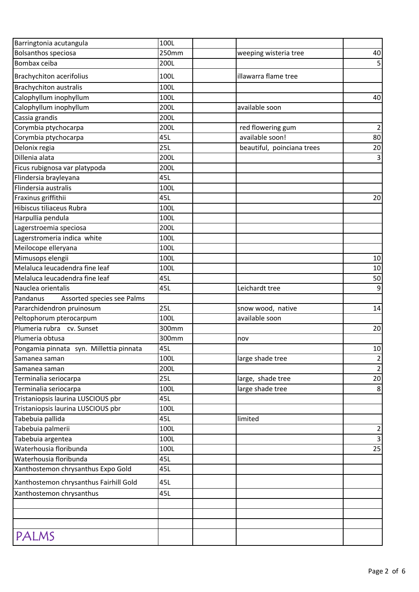| Barringtonia acutangula                 | 100L  |                            |                  |
|-----------------------------------------|-------|----------------------------|------------------|
| <b>Bolsanthos speciosa</b>              | 250mm | weeping wisteria tree      | 40               |
| Bombax ceiba                            | 200L  |                            | 5                |
| <b>Brachychiton acerifolius</b>         | 100L  | illawarra flame tree       |                  |
| <b>Brachychiton australis</b>           | 100L  |                            |                  |
| Calophyllum inophyllum                  | 100L  |                            | 40               |
| Calophyllum inophyllum                  | 200L  | available soon             |                  |
| Cassia grandis                          | 200L  |                            |                  |
| Corymbia ptychocarpa                    | 200L  | red flowering gum          | $\overline{2}$   |
| Corymbia ptychocarpa                    | 45L   | available soon!            | 80               |
| Delonix regia                           | 25L   | beautiful, poinciana trees | 20               |
| Dillenia alata                          | 200L  |                            | 3                |
| Ficus rubignosa var platypoda           | 200L  |                            |                  |
| Flindersia brayleyana                   | 45L   |                            |                  |
| Flindersia australis                    | 100L  |                            |                  |
| Fraxinus griffithii                     | 45L   |                            | 20               |
| Hibiscus tiliaceus Rubra                | 100L  |                            |                  |
| Harpullia pendula                       | 100L  |                            |                  |
| Lagerstroemia speciosa                  | 200L  |                            |                  |
| Lagerstromeria indica white             | 100L  |                            |                  |
| Meilocope elleryana                     | 100L  |                            |                  |
| Mimusops elengii                        | 100L  |                            | 10               |
| Melaluca leucadendra fine leaf          | 100L  |                            | 10               |
| Melaluca leucadendra fine leaf          | 45L   |                            | 50               |
| Nauclea orientalis                      | 45L   | Leichardt tree             | $\boldsymbol{9}$ |
| Assorted species see Palms<br>Pandanus  |       |                            |                  |
| Pararchidendron pruinosum               | 25L   | snow wood, native          | 14               |
| Peltophorum pterocarpum                 | 100L  | available soon             |                  |
| Plumeria rubra cv. Sunset               | 300mm |                            | 20               |
| Plumeria obtusa                         | 300mm | nov                        |                  |
| Pongamia pinnata syn. Millettia pinnata | 45L   |                            | 10               |
| Samanea saman                           | 100L  | large shade tree           | $\overline{c}$   |
| Samanea saman                           | 200L  |                            | $\overline{2}$   |
| Terminalia seriocarpa                   | 25L   | large, shade tree          | 20               |
| Terminalia seriocarpa                   | 100L  | large shade tree           | 8                |
| Tristaniopsis laurina LUSCIOUS pbr      | 45L   |                            |                  |
| Tristaniopsis laurina LUSCIOUS pbr      | 100L  |                            |                  |
| Tabebuia pallida                        | 45L   | limited                    |                  |
| Tabebuia palmerii                       | 100L  |                            | $\overline{2}$   |
| Tabebuia argentea                       | 100L  |                            | 3                |
| Waterhousia floribunda                  | 100L  |                            | 25               |
| Waterhousia floribunda                  | 45L   |                            |                  |
| Xanthostemon chrysanthus Expo Gold      | 45L   |                            |                  |
| Xanthostemon chrysanthus Fairhill Gold  | 45L   |                            |                  |
| Xanthostemon chrysanthus                | 45L   |                            |                  |
|                                         |       |                            |                  |
|                                         |       |                            |                  |
|                                         |       |                            |                  |
| PALMS                                   |       |                            |                  |
|                                         |       |                            |                  |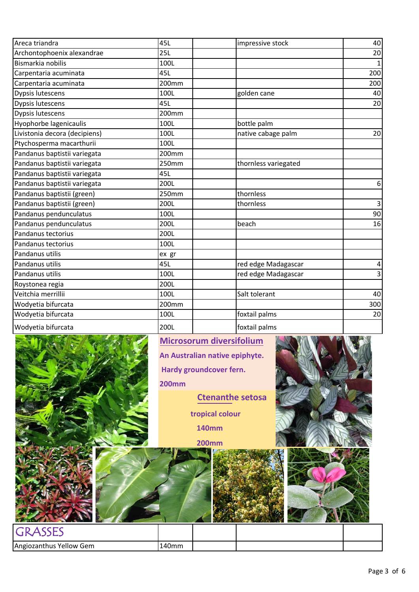| Areca triandra                | 45L   | impressive stock     | 40           |
|-------------------------------|-------|----------------------|--------------|
| Archontophoenix alexandrae    | 25L   |                      | 20           |
| Bismarkia nobilis             | 100L  |                      | $\mathbf{1}$ |
| Carpentaria acuminata         | 45L   |                      | 200          |
| Carpentaria acuminata         | 200mm |                      | 200          |
| Dypsis lutescens              | 100L  | golden cane          | 40           |
| Dypsis lutescens              | 45L   |                      | 20           |
| Dypsis lutescens              | 200mm |                      |              |
| Hyophorbe lagenicaulis        | 100L  | bottle palm          |              |
| Livistonia decora (decipiens) | 100L  | native cabage palm   | 20           |
| Ptychosperma macarthurii      | 100L  |                      |              |
| Pandanus baptistii variegata  | 200mm |                      |              |
| Pandanus baptistii variegata  | 250mm | thornless variegated |              |
| Pandanus baptistii variegata  | 45L   |                      |              |
| Pandanus baptistii variegata  | 200L  |                      | 6            |
| Pandanus baptistii (green)    | 250mm | thornless            |              |
| Pandanus baptistii (green)    | 200L  | thornless            | 3            |
| Pandanus pendunculatus        | 100L  |                      | 90           |
| Pandanus pendunculatus        | 200L  | beach                | 16           |
| Pandanus tectorius            | 200L  |                      |              |
| Pandanus tectorius            | 100L  |                      |              |
| Pandanus utilis               | ex gr |                      |              |
| Pandanus utilis               | 45L   | red edge Madagascar  | 4            |
| Pandanus utilis               | 100L  | red edge Madagascar  | 3            |
| Roystonea regia               | 200L  |                      |              |
| Veitchia merrillii            | 100L  | Salt tolerant        | 40           |
| Wodyetia bifurcata            | 200mm |                      | 300          |
| Wodyetia bifurcata            | 100L  | foxtail palms        | 20           |
| Wodyetia bifurcata            | 200L  | foxtail palms        |              |



Page 3 of 6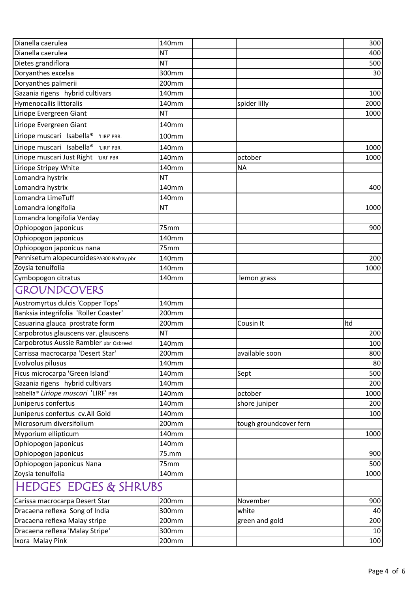| Dianella caerulea                                    | 140mm     |                | 300                    |
|------------------------------------------------------|-----------|----------------|------------------------|
| Dianella caerulea                                    | <b>NT</b> |                | 400                    |
| Dietes grandiflora                                   | <b>NT</b> |                | 500                    |
| Doryanthes excelsa                                   | 300mm     |                | 30                     |
| Doryanthes palmerii                                  | 200mm     |                |                        |
| Gazania rigens hybrid cultivars                      | 140mm     |                | 100                    |
| Hymenocallis littoralis                              | 140mm     | spider lilly   | 2000                   |
| Liriope Evergreen Giant                              | NT        |                | 1000                   |
| Liriope Evergreen Giant                              | 140mm     |                |                        |
| Liriope muscari Isabella <sup>®</sup><br>'LIRF' PBR. | 100mm     |                |                        |
| Liriope muscari Isabella®<br>'LIRF' PBR.             | 140mm     |                | 1000                   |
| Liriope muscari Just Right<br>'LIRJ' PBR             | 140mm     | october        | 1000                   |
| Liriope Stripey White                                | 140mm     | <b>NA</b>      |                        |
| Lomandra hystrix                                     | <b>NT</b> |                |                        |
| Lomandra hystrix                                     | 140mm     |                | 400                    |
| Lomandra LimeTuff                                    | 140mm     |                |                        |
| Lomandra longifolia                                  | <b>NT</b> |                | 1000                   |
| Lomandra longifolia Verday                           |           |                |                        |
| Ophiopogon japonicus                                 | 75mm      |                | 900                    |
| Ophiopogon japonicus                                 | 140mm     |                |                        |
| Ophiopogon japonicus nana                            | 75mm      |                |                        |
| Pennisetum alopecuroidesPA300 Nafray pbr             | 140mm     |                | 200                    |
| Zoysia tenuifolia                                    | 140mm     |                | 1000                   |
| Cymbopogon citratus                                  | 140mm     | lemon grass    |                        |
| <b>GROUNDCOVERS</b>                                  |           |                |                        |
| Austromyrtus dulcis 'Copper Tops'                    | 140mm     |                |                        |
| Banksia integrifolia 'Roller Coaster'                | 200mm     |                |                        |
| Casuarina glauca prostrate form                      | 200mm     | Cousin It      | Itd                    |
| Carpobrotus glauscens var. glauscens                 | NT        |                | 200                    |
| Carpobrotus Aussie Rambler pbr Ozbreed               | 140mm     |                | 100                    |
| Carrissa macrocarpa 'Desert Star'                    | $200$ mm  | available soon | 800                    |
| Evolvolus pilusus                                    | 140mm     |                | 80                     |
| Ficus microcarpa 'Green Island'                      | 140mm     | Sept           | 500                    |
| Gazania rigens hybrid cultivars                      | 140mm     |                | 200                    |
| Isabella <sup>®</sup> Liriope muscari 'LIRF' PBR     | 140mm     | october        | 1000                   |
| Juniperus confertus                                  | 140mm     | shore juniper  | 200                    |
| Juniperus confertus cv.All Gold                      | 140mm     |                | 100                    |
| Microsorum diversifolium                             | 200mm     |                | tough groundcover fern |
| Myporium ellipticum                                  | 140mm     |                | 1000                   |
| Ophiopogon japonicus                                 | 140mm     |                |                        |
| Ophiopogon japonicus                                 | 75.mm     |                | 900                    |
| Ophiopogon japonicus Nana                            | 75mm      |                | 500                    |
| Zoysia tenuifolia                                    | 140mm     |                | 1000                   |
| <b>HEDGES EDGES &amp; SHRUBS</b>                     |           |                |                        |
| Carissa macrocarpa Desert Star                       | 200mm     | November       | 900                    |
| Dracaena reflexa Song of India                       | 300mm     | white          | 40                     |
| Dracaena reflexa Malay stripe                        | 200mm     | green and gold | 200                    |
| Dracaena reflexa 'Malay Stripe'                      | 300mm     |                | 10                     |
| Ixora Malay Pink                                     | 200mm     |                | 100                    |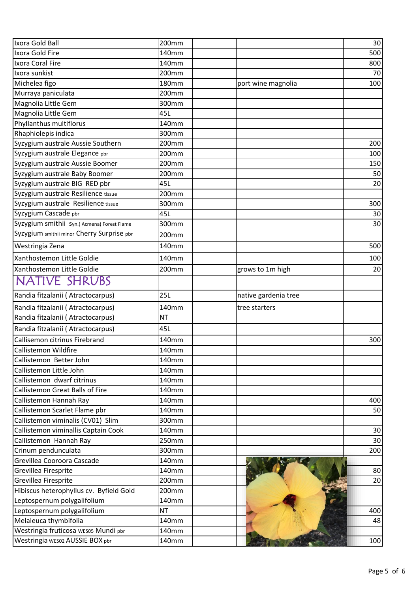| Ixora Gold Ball                                                     | 200mm          |                      | 30  |
|---------------------------------------------------------------------|----------------|----------------------|-----|
| Ixora Gold Fire                                                     | 140mm          |                      | 500 |
| Ixora Coral Fire                                                    | 140mm          |                      | 800 |
| Ixora sunkist                                                       | 200mm          |                      | 70  |
| Michelea figo                                                       | <b>180mm</b>   |                      | 100 |
| Murraya paniculata                                                  | 200mm          | port wine magnolia   |     |
| Magnolia Little Gem                                                 | 300mm          |                      |     |
|                                                                     | 45L            |                      |     |
| Magnolia Little Gem                                                 |                |                      |     |
| Phyllanthus multiflorus<br>Rhaphiolepis indica                      | 140mm          |                      |     |
|                                                                     | 300mm<br>200mm |                      |     |
| Syzygium australe Aussie Southern<br>Syzygium australe Elegance pbr | 200mm          |                      | 200 |
|                                                                     |                |                      | 100 |
| Syzygium australe Aussie Boomer                                     | 200mm          |                      | 150 |
| Syzygium australe Baby Boomer                                       | 200mm          |                      | 50  |
| Syzygium australe BIG RED pbr                                       | 45L            |                      | 20  |
| Syzygium australe Resilience tissue                                 | 200mm          |                      |     |
| Syzygium australe Resilience tissue                                 | 300mm          |                      | 300 |
| Syzygium Cascade pbr                                                | 45L            |                      | 30  |
| Syzygium smithii Syn.(Acmena) Forest Flame                          | 300mm          |                      | 30  |
| Syzygium smithii minor Cherry Surprise pbr                          | 200mm          |                      |     |
| Westringia Zena                                                     | 140mm          |                      | 500 |
| Xanthostemon Little Goldie                                          | 140mm          |                      | 100 |
| Xanthostemon Little Goldie                                          | 200mm          | grows to 1m high     | 20  |
| NATIVE SHRUBS                                                       |                |                      |     |
| Randia fitzalanii (Atractocarpus)                                   | 25L            | native gardenia tree |     |
| Randia fitzalanii (Atractocarpus)                                   | 140mm          | tree starters        |     |
| Randia fitzalanii (Atractocarpus)                                   | NT             |                      |     |
| Randia fitzalanii (Atractocarpus)                                   | 45L            |                      |     |
| Callisemon citrinus Firebrand                                       | 140mm          |                      | 300 |
| Callistemon Wildfire                                                | 140mm          |                      |     |
| Callistemon Better John                                             | 140mm          |                      |     |
| Callistemon Little John                                             | 140mm          |                      |     |
| Callistemon dwarf citrinus                                          | 140mm          |                      |     |
| <b>Callistemon Great Balls of Fire</b>                              | 140mm          |                      |     |
| Callistemon Hannah Ray                                              | 140mm          |                      | 400 |
| Callistemon Scarlet Flame pbr                                       | 140mm          |                      | 50  |
| Callistemon viminalis (CV01) Slim                                   | 300mm          |                      |     |
| Callistemon viminallis Captain Cook                                 | 140mm          |                      | 30  |
| Callistemon Hannah Ray                                              | 250mm          |                      | 30  |
| Crinum pendunculata                                                 | 300mm          |                      | 200 |
| Grevillea Cooroora Cascade                                          | 140mm          |                      |     |
| Grevillea Firesprite                                                | 140mm          |                      | 80  |
| Grevillea Firesprite                                                | 200mm          |                      | 20  |
| Hibiscus heterophyllus cv. Byfield Gold                             | 200mm          |                      |     |
| Leptospernum polygalifolium                                         | 140mm          |                      |     |
| Leptospernum polygalifolium                                         | ΝT             |                      | 400 |
| Melaleuca thymbifolia                                               | 140mm          |                      | 48  |
| Westringia fruticosa wesos Mundi pbr                                | 140mm          |                      |     |
| Westringia WES02 AUSSIE BOX pbr                                     | 140mm          |                      | 100 |
|                                                                     |                |                      |     |